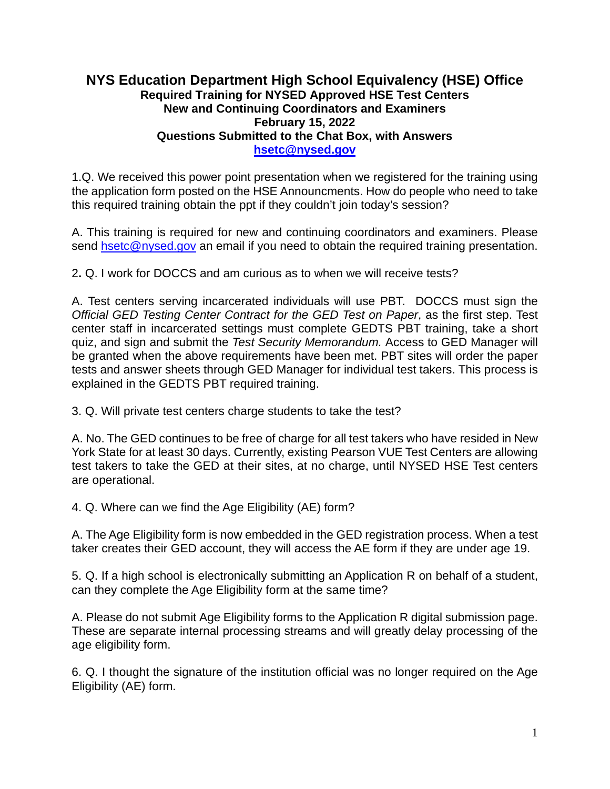## **NYS Education Department High School Equivalency (HSE) Office Required Training for NYSED Approved HSE Test Centers New and Continuing Coordinators and Examiners February 15, 2022 Questions Submitted to the Chat Box, with Answers [hsetc@nysed.gov](mailto:hsetc@nysed.gov)**

1.Q. We received this power point presentation when we registered for the training using the application form posted on the HSE Announcments. How do people who need to take this required training obtain the ppt if they couldn't join today's session?

A. This training is required for new and continuing coordinators and examiners. Please send [hsetc@nysed.gov](mailto:hsetc@nysed.gov) an email if you need to obtain the required training presentation.

2**.** Q. I work for DOCCS and am curious as to when we will receive tests?

A. Test centers serving incarcerated individuals will use PBT. DOCCS must sign the *Official GED Testing Center Contract for the GED Test on Paper*, as the first step. Test center staff in incarcerated settings must complete GEDTS PBT training, take a short quiz, and sign and submit the *Test Security Memorandum.* Access to GED Manager will be granted when the above requirements have been met. PBT sites will order the paper tests and answer sheets through GED Manager for individual test takers. This process is explained in the GEDTS PBT required training.

3. Q. Will private test centers charge students to take the test?

A. No. The GED continues to be free of charge for all test takers who have resided in New York State for at least 30 days. Currently, existing Pearson VUE Test Centers are allowing test takers to take the GED at their sites, at no charge, until NYSED HSE Test centers are operational.

4. Q. Where can we find the Age Eligibility (AE) form?

A. The Age Eligibility form is now embedded in the GED registration process. When a test taker creates their GED account, they will access the AE form if they are under age 19.

5. Q. If a high school is electronically submitting an Application R on behalf of a student, can they complete the Age Eligibility form at the same time?

A. Please do not submit Age Eligibility forms to the Application R digital submission page. These are separate internal processing streams and will greatly delay processing of the age eligibility form.

6. Q. I thought the signature of the institution official was no longer required on the Age Eligibility (AE) form.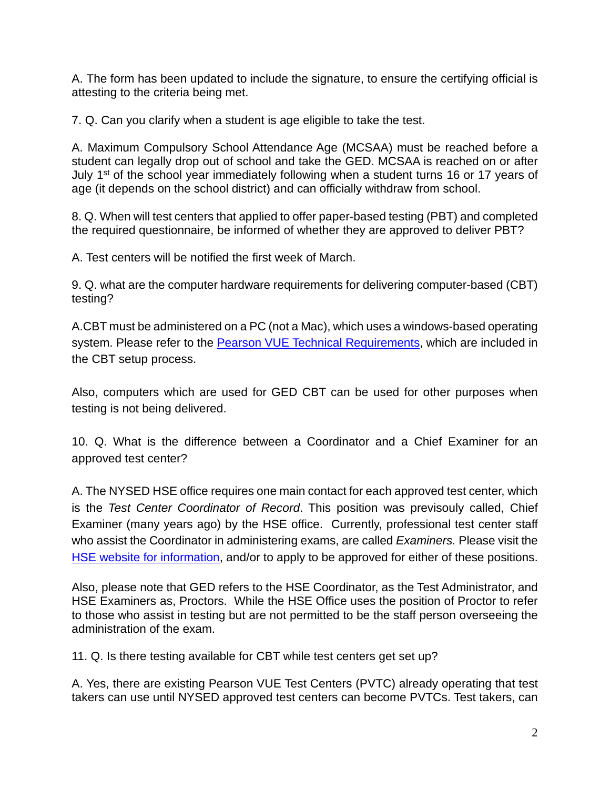A. The form has been updated to include the signature, to ensure the certifying official is attesting to the criteria being met.

7. Q. Can you clarify when a student is age eligible to take the test.

A. Maximum Compulsory School Attendance Age (MCSAA) must be reached before a student can legally drop out of school and take the GED. MCSAA is reached on or after July 1<sup>st</sup> of the school year immediately following when a student turns 16 or 17 years of age (it depends on the school district) and can officially withdraw from school.

8. Q. When will test centers that applied to offer paper-based testing (PBT) and completed the required questionnaire, be informed of whether they are approved to deliver PBT?

A. Test centers will be notified the first week of March.

9. Q. what are the computer hardware requirements for delivering computer-based (CBT) testing?

A.CBT must be administered on a PC (not a Mac), which uses a windows-based operating system. Please refer to the [Pearson VUE Technical Requirements,](https://ged.com/educators_admins/test_admin/become_a_center/) which are included in the CBT setup process.

Also, computers which are used for GED CBT can be used for other purposes when testing is not being delivered.

10. Q. What is the difference between a Coordinator and a Chief Examiner for an approved test center?

A. The NYSED HSE office requires one main contact for each approved test center, which is the *Test Center Coordinator of Record*. This position was previsouly called, Chief Examiner (many years ago) by the HSE office. Currently, professional test center staff who assist the Coordinator in administering exams, are called *Examiners.* Please visit the [HSE website for information,](http://www.acces.nysed.gov/hse/hse-test-center-coordinators-and-examiners) and/or to apply to be approved for either of these positions.

Also, please note that GED refers to the HSE Coordinator, as the Test Administrator, and HSE Examiners as, Proctors. While the HSE Office uses the position of Proctor to refer to those who assist in testing but are not permitted to be the staff person overseeing the administration of the exam.

11. Q. Is there testing available for CBT while test centers get set up?

A. Yes, there are existing Pearson VUE Test Centers (PVTC) already operating that test takers can use until NYSED approved test centers can become PVTCs. Test takers, can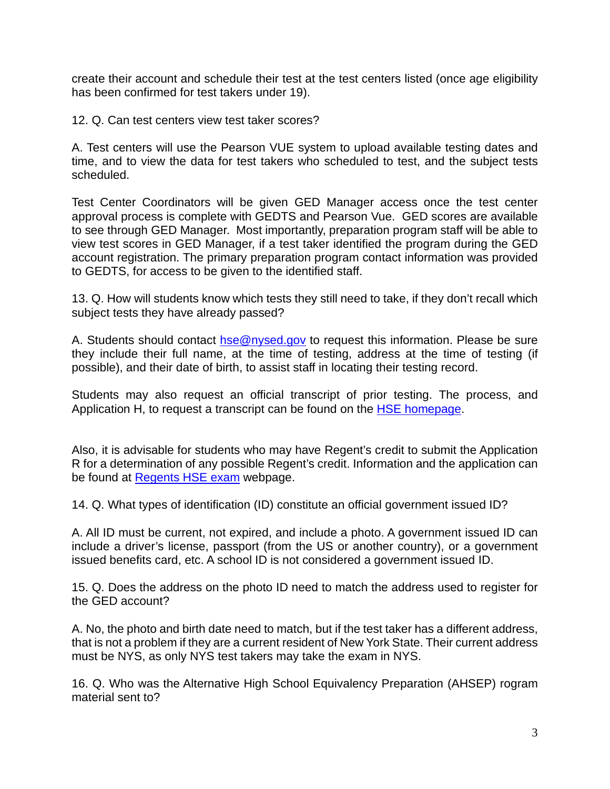create their account and schedule their test at the test centers listed (once age eligibility has been confirmed for test takers under 19).

12. Q. Can test centers view test taker scores?

A. Test centers will use the Pearson VUE system to upload available testing dates and time, and to view the data for test takers who scheduled to test, and the subject tests scheduled.

Test Center Coordinators will be given GED Manager access once the test center approval process is complete with GEDTS and Pearson Vue. GED scores are available to see through GED Manager. Most importantly, preparation program staff will be able to view test scores in GED Manager, if a test taker identified the program during the GED account registration. The primary preparation program contact information was provided to GEDTS, for access to be given to the identified staff.

13. Q. How will students know which tests they still need to take, if they don't recall which subject tests they have already passed?

A. Students should contact [hse@nysed.gov](mailto:hse@nysed.gov) to request this information. Please be sure they include their full name, at the time of testing, address at the time of testing (if possible), and their date of birth, to assist staff in locating their testing record.

Students may also request an official transcript of prior testing. The process, and Application H, to request a transcript can be found on the [HSE homepage.](http://www.acces.nysed.gov/hse/high-school-equivalency-hse)

Also, it is advisable for students who may have Regent's credit to submit the Application R for a determination of any possible Regent's credit. Information and the application can be found at Regents [HSE exam](http://www.acces.nysed.gov/hse/regents-hse-exam) webpage.

14. Q. What types of identification (ID) constitute an official government issued ID?

A. All ID must be current, not expired, and include a photo. A government issued ID can include a driver's license, passport (from the US or another country), or a government issued benefits card, etc. A school ID is not considered a government issued ID.

15. Q. Does the address on the photo ID need to match the address used to register for the GED account?

A. No, the photo and birth date need to match, but if the test taker has a different address, that is not a problem if they are a current resident of New York State. Their current address must be NYS, as only NYS test takers may take the exam in NYS.

16. Q. Who was the Alternative High School Equivalency Preparation (AHSEP) rogram material sent to?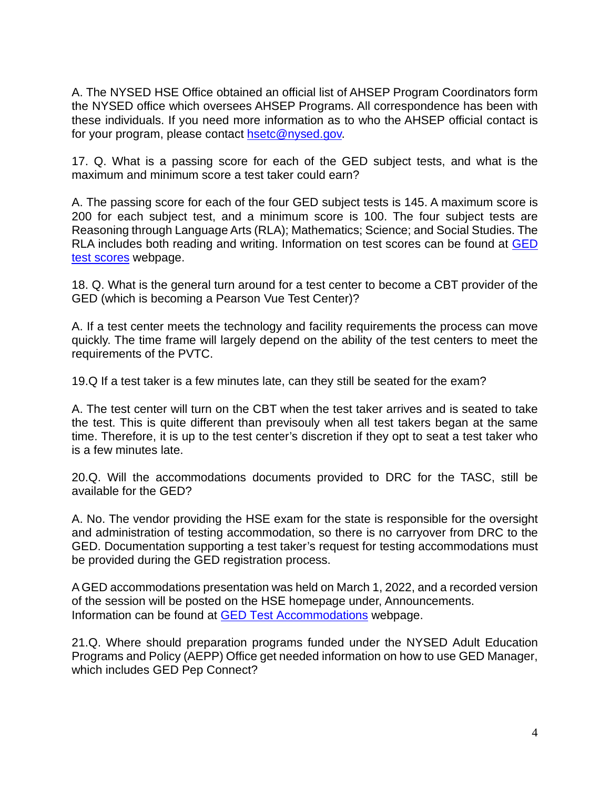A. The NYSED HSE Office obtained an official list of AHSEP Program Coordinators form the NYSED office which oversees AHSEP Programs. All correspondence has been with these individuals. If you need more information as to who the AHSEP official contact is for your program, please contact [hsetc@nysed.gov.](mailto:hsetc@nysed.gov)

17. Q. What is a passing score for each of the GED subject tests, and what is the maximum and minimum score a test taker could earn?

A. The passing score for each of the four GED subject tests is 145. A maximum score is 200 for each subject test, and a minimum score is 100. The four subject tests are Reasoning through Language Arts (RLA); Mathematics; Science; and Social Studies. The RLA includes both reading and writing. Information on test scores can be found at [GED](https://ged.com/about_test/scores/)  [test scores](https://ged.com/about_test/scores/) webpage.

18. Q. What is the general turn around for a test center to become a CBT provider of the GED (which is becoming a Pearson Vue Test Center)?

A. If a test center meets the technology and facility requirements the process can move quickly. The time frame will largely depend on the ability of the test centers to meet the requirements of the PVTC.

19.Q If a test taker is a few minutes late, can they still be seated for the exam?

A. The test center will turn on the CBT when the test taker arrives and is seated to take the test. This is quite different than previsouly when all test takers began at the same time. Therefore, it is up to the test center's discretion if they opt to seat a test taker who is a few minutes late.

20.Q. Will the accommodations documents provided to DRC for the TASC, still be available for the GED?

A. No. The vendor providing the HSE exam for the state is responsible for the oversight and administration of testing accommodation, so there is no carryover from DRC to the GED. Documentation supporting a test taker's request for testing accommodations must be provided during the GED registration process.

A GED accommodations presentation was held on March 1, 2022, and a recorded version of the session will be posted on the HSE homepage under, Announcements. Information can be found at [GED Test Accommodations](https://ged.com/about_test/accommodations/) webpage.

21.Q. Where should preparation programs funded under the NYSED Adult Education Programs and Policy (AEPP) Office get needed information on how to use GED Manager, which includes GED Pep Connect?